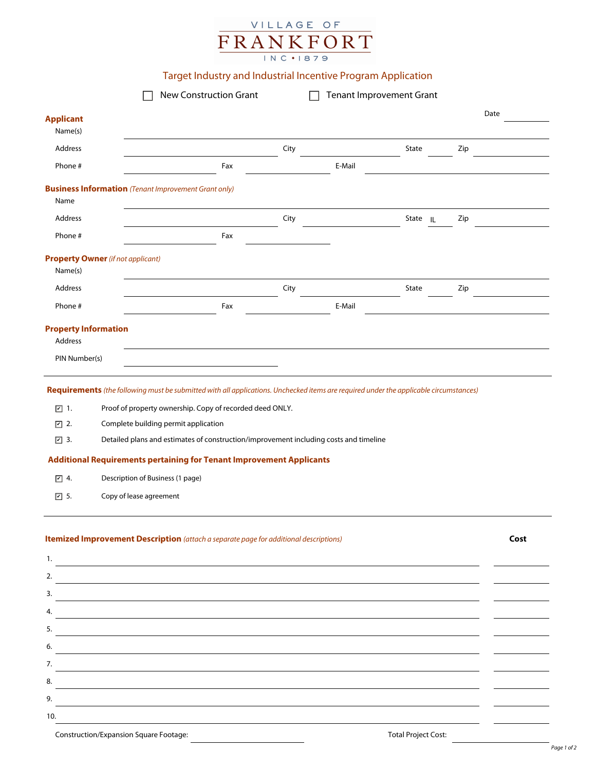## VILLAGE OF  $\frac{\frac{1}{\text{FRAW}}}{\frac{1}{\text{NCI}} \times \frac{1}{\text{NIST}}}{1}$

## Target Industry and Industrial Incentive Program Application

|                                                                                     | New Construction Grant                                                                                                                                                                                                                                                                                                                                                                                                                                                           |      | <b>Tenant Improvement Grant</b> |          |                      |     |      |
|-------------------------------------------------------------------------------------|----------------------------------------------------------------------------------------------------------------------------------------------------------------------------------------------------------------------------------------------------------------------------------------------------------------------------------------------------------------------------------------------------------------------------------------------------------------------------------|------|---------------------------------|----------|----------------------|-----|------|
| <b>Applicant</b><br>Name(s)                                                         |                                                                                                                                                                                                                                                                                                                                                                                                                                                                                  |      |                                 |          |                      |     | Date |
| Address                                                                             |                                                                                                                                                                                                                                                                                                                                                                                                                                                                                  | City |                                 | State    | $\blacktriangledown$ | Zip |      |
| Phone #                                                                             | Fax                                                                                                                                                                                                                                                                                                                                                                                                                                                                              |      | E-Mail                          |          |                      |     |      |
|                                                                                     |                                                                                                                                                                                                                                                                                                                                                                                                                                                                                  |      |                                 |          |                      |     |      |
| Name                                                                                | <b>Business Information</b> (Tenant Improvement Grant only)                                                                                                                                                                                                                                                                                                                                                                                                                      |      |                                 |          |                      |     |      |
| Address                                                                             |                                                                                                                                                                                                                                                                                                                                                                                                                                                                                  | City |                                 | State IL |                      | Zip |      |
| Phone #                                                                             | Fax                                                                                                                                                                                                                                                                                                                                                                                                                                                                              |      |                                 |          |                      |     |      |
| Name(s)                                                                             | <b>Property Owner</b> (if not applicant)                                                                                                                                                                                                                                                                                                                                                                                                                                         |      |                                 |          |                      |     |      |
| Address                                                                             |                                                                                                                                                                                                                                                                                                                                                                                                                                                                                  | City |                                 | State    | $\blacktriangledown$ | Zip |      |
| Phone #                                                                             | Fax                                                                                                                                                                                                                                                                                                                                                                                                                                                                              |      | E-Mail                          |          |                      |     |      |
| <b>Property Information</b><br>Address                                              |                                                                                                                                                                                                                                                                                                                                                                                                                                                                                  |      |                                 |          |                      |     |      |
| PIN Number(s)                                                                       |                                                                                                                                                                                                                                                                                                                                                                                                                                                                                  |      |                                 |          |                      |     |      |
| $\boxed{\triangleright}$ 1.<br>☑ 2.<br>$\boxed{\mathcal{C}}$ 3.<br>$\nu$ 4.<br>☑ 5. | Requirements (the following must be submitted with all applications. Unchecked items are required under the applicable circumstances)<br>Proof of property ownership. Copy of recorded deed ONLY.<br>Complete building permit application<br>Detailed plans and estimates of construction/improvement including costs and timeline<br><b>Additional Requirements pertaining for Tenant Improvement Applicants</b><br>Description of Business (1 page)<br>Copy of lease agreement |      |                                 |          |                      |     |      |
| 1.<br>2.<br>3.<br>4.<br>5.<br>6.<br>7.<br>8.<br>9.                                  | Itemized Improvement Description (attach a separate page for additional descriptions)<br><u> 1989 - Johann Stoff, deutscher Stoff, der Stoff, der Stoff, der Stoff, der Stoff, der Stoff, der Stoff, der S</u>                                                                                                                                                                                                                                                                   |      |                                 |          |                      |     | Cost |
|                                                                                     |                                                                                                                                                                                                                                                                                                                                                                                                                                                                                  |      |                                 |          |                      |     |      |
| 10.                                                                                 |                                                                                                                                                                                                                                                                                                                                                                                                                                                                                  |      |                                 |          |                      |     |      |

Construction/Expansion Square Footage: